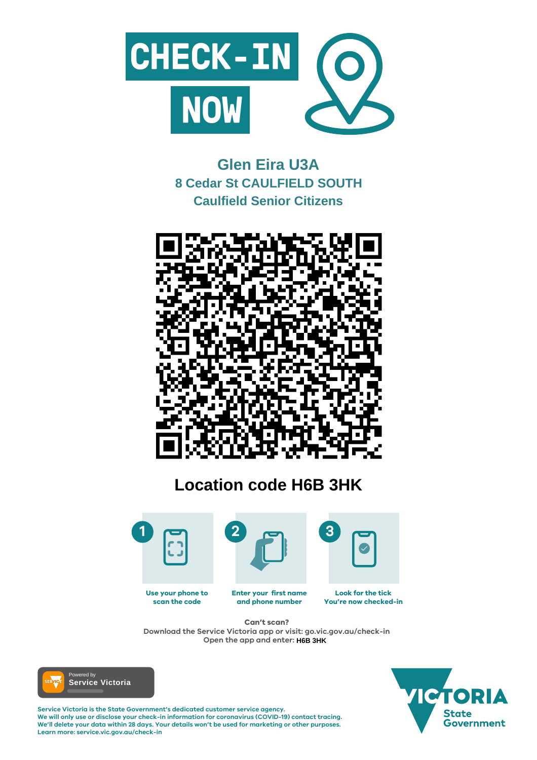

#### **Enter your first name and phone number Look for the tick You're now checked-in Use your phone to scan the code**

**Service Victoria is the State Government's dedicated customer service agency. We will only use or disclose your check-in information for coronavirus (COVID-19) contact tracing. We'll delete your data within 28 days. Your details won't be used for marketing or other purposes. Learn more: service.vic.gov.au/check-in**





### **Can't scan?**

**Download the Service Victoria app or visit: go.vic.gov.au/check-in Open the app and enter: H6B 3HK**



# **Glen Eira U3A 8 Cedar St CAULFIELD SOUTH Caulfield Senior Citizens**



# **Location code H6B 3HK**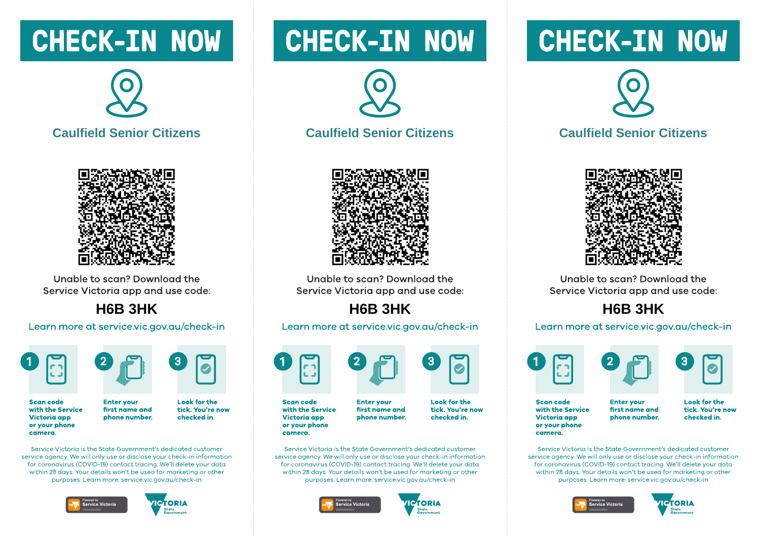## CHECK-IN NOW





Unable to scan? Download the Service Victoria app and use code:

#### **H6B 3HK**

Learn more at service.vic.gov.au/check-in





**Enter vour** 

**Scan code** with the Service **Victoria app** or your phone camera.

**Look for the** tick. You're now first name and phone number. checked in.

Service Victoria is the State Government's dedicated customer service gaency. We will only use or disclose your check-in information for coronavirus (COVID-19) contact tracing. We'll delete your data within 28 days. Your details won't be used for marketing or other purposes. Learn more: service.vic.gov.gu/check-in





# **CHECK-IN NOW**



#### **Caulfield Senior Citizens**



Unable to scan? Download the Service Victoria app and use code:

### **H6B 3HK**

Learn more at service.vic.gov.au/check-in



**Scan code** with the Service Victoria app or your phone camera.

**Enter vour** first name and phone number.

**Look for the** tick. You're now checked in.

Service Victoria is the State Government's dedicated customer service gaency. We will only use or disclose your check-in information for coronavirus (COVID-19) contact tracing. We'll delete your data within 28 days. Your details won't be used for marketing or other purposes. Learn more: service.vic.gov.gu/check-in





# **CHECK-IN NOW**



#### **Caulfield Senior Citizens**



Unable to scan? Download the Service Victoria app and use code:

### **H6B 3HK**

#### Learn more at service.vic.gov.au/check-in





**Scan code** with the Service Victoria app or your phone camera.

**Enter vour** first name and phone number. **Look for the** tick. You're now checked in.

Service Victoria is the State Government's dedicated customer service gaency. We will only use or disclose your check-in information for coronavirus (COVID-19) contact tracing. We'll delete your data within 28 days. Your details won't be used for marketing or other purposes. Learn more: service.vic.gov.gu/check-in